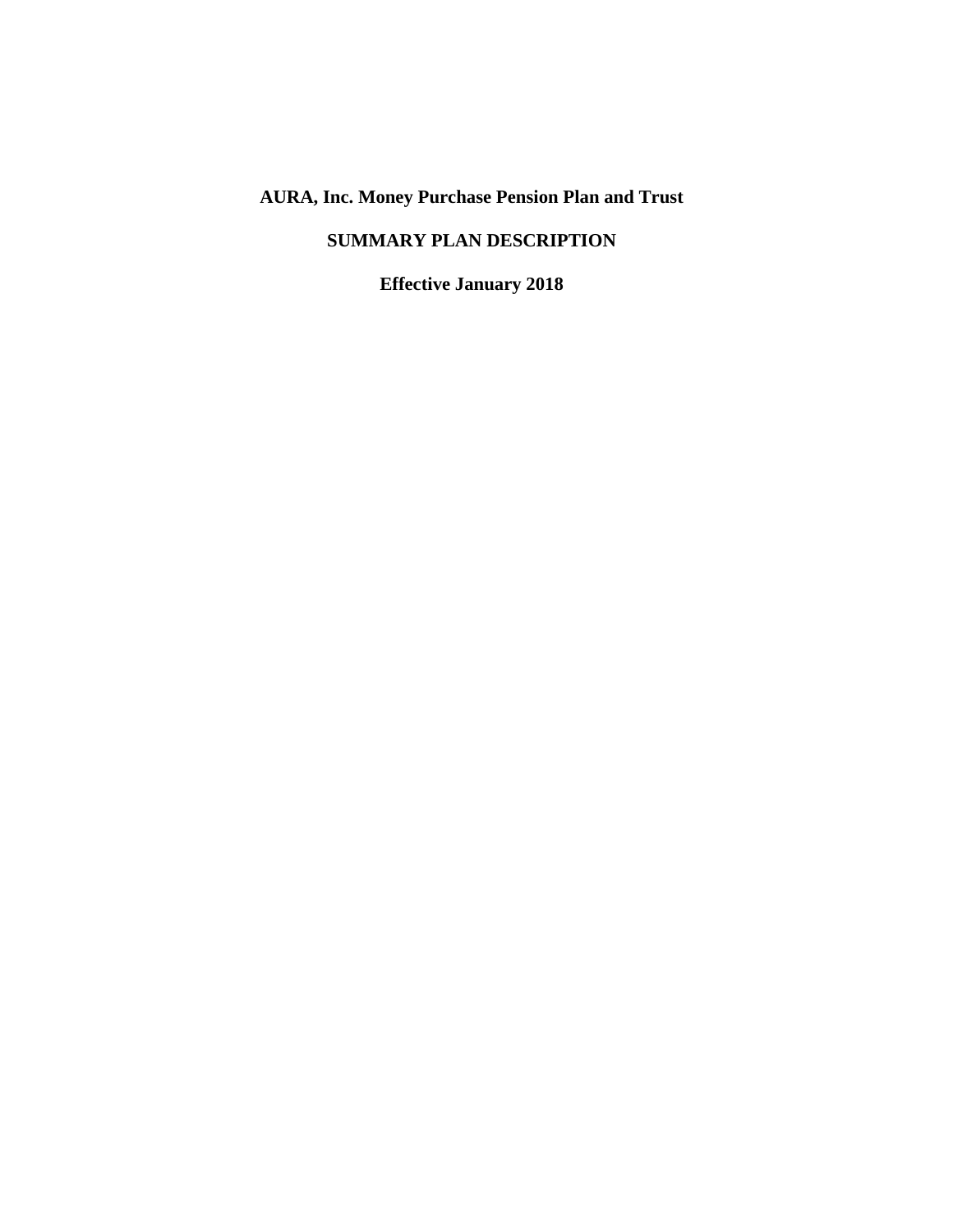# **AURA, Inc. Money Purchase Pension Plan and Trust**

# **SUMMARY PLAN DESCRIPTION**

**Effective January 2018**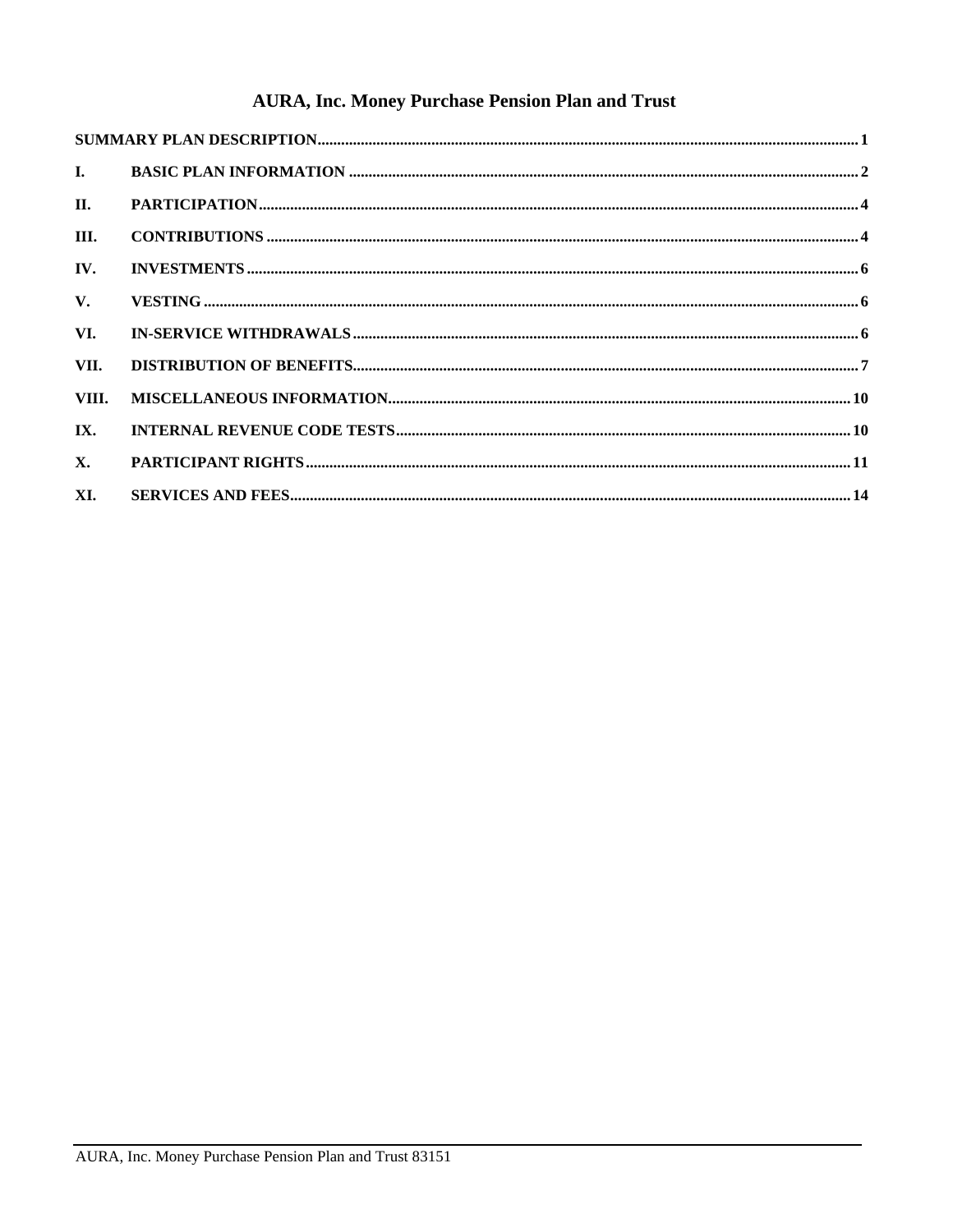# **AURA, Inc. Money Purchase Pension Plan and Trust**

| $\mathbf{I}$ . |  |  |  |
|----------------|--|--|--|
| II.            |  |  |  |
| III.           |  |  |  |
| IV.            |  |  |  |
| $V_{\cdot}$    |  |  |  |
| VI.            |  |  |  |
| VII.           |  |  |  |
| VIII.          |  |  |  |
| IX.            |  |  |  |
| $\mathbf{X}$ . |  |  |  |
| XI.            |  |  |  |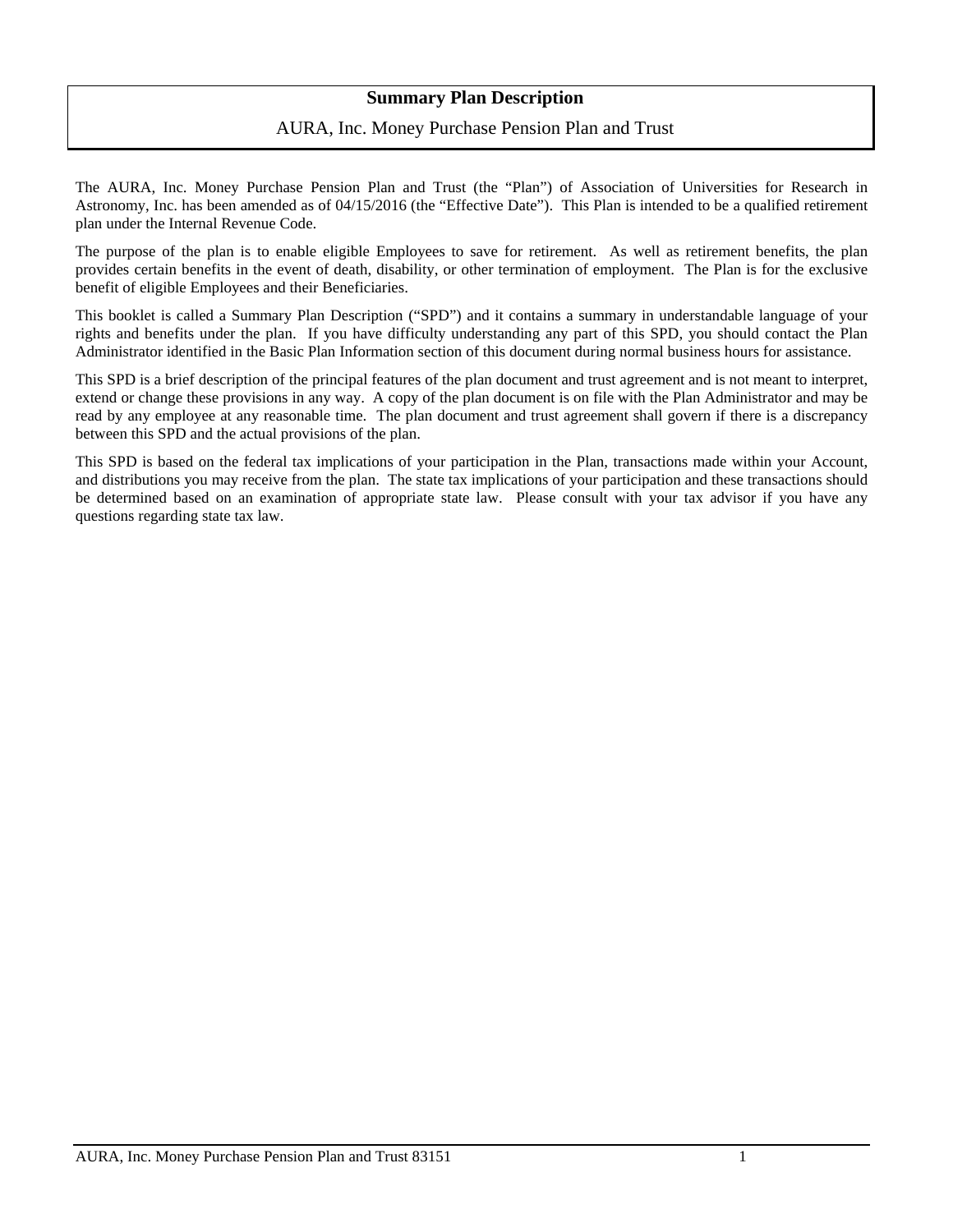## **Summary Plan Description**

## AURA, Inc. Money Purchase Pension Plan and Trust

<span id="page-2-0"></span>The AURA, Inc. Money Purchase Pension Plan and Trust (the "Plan") of Association of Universities for Research in Astronomy, Inc. has been amended as of 04/15/2016 (the "Effective Date"). This Plan is intended to be a qualified retirement plan under the Internal Revenue Code.

The purpose of the plan is to enable eligible Employees to save for retirement. As well as retirement benefits, the plan provides certain benefits in the event of death, disability, or other termination of employment. The Plan is for the exclusive benefit of eligible Employees and their Beneficiaries.

This booklet is called a Summary Plan Description ("SPD") and it contains a summary in understandable language of your rights and benefits under the plan. If you have difficulty understanding any part of this SPD, you should contact the Plan Administrator identified in the Basic Plan Information section of this document during normal business hours for assistance.

This SPD is a brief description of the principal features of the plan document and trust agreement and is not meant to interpret, extend or change these provisions in any way. A copy of the plan document is on file with the Plan Administrator and may be read by any employee at any reasonable time. The plan document and trust agreement shall govern if there is a discrepancy between this SPD and the actual provisions of the plan.

This SPD is based on the federal tax implications of your participation in the Plan, transactions made within your Account, and distributions you may receive from the plan. The state tax implications of your participation and these transactions should be determined based on an examination of appropriate state law. Please consult with your tax advisor if you have any questions regarding state tax law.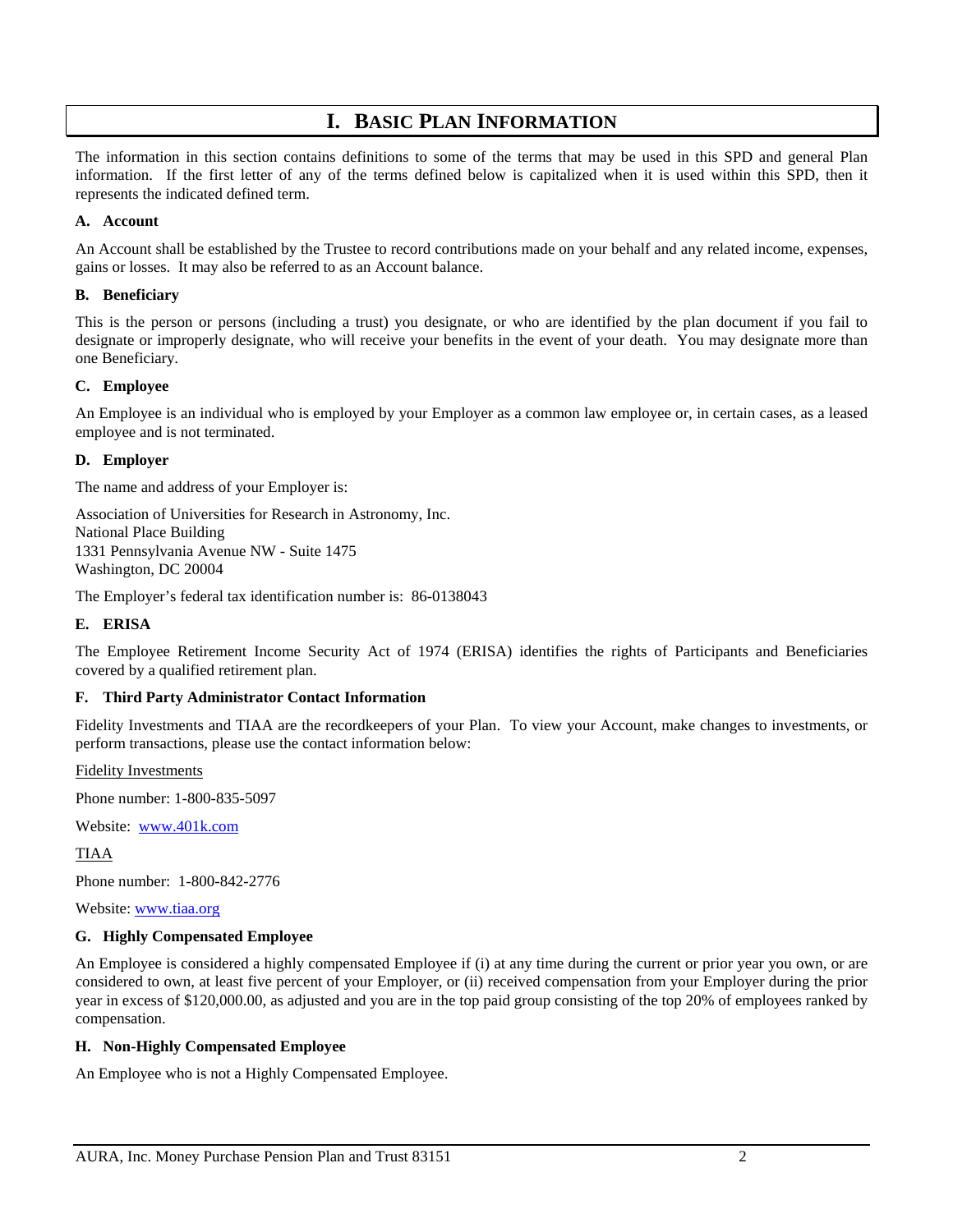# **I. BASIC PLAN INFORMATION**

<span id="page-3-0"></span>The information in this section contains definitions to some of the terms that may be used in this SPD and general Plan information. If the first letter of any of the terms defined below is capitalized when it is used within this SPD, then it represents the indicated defined term.

#### **A. Account**

An Account shall be established by the Trustee to record contributions made on your behalf and any related income, expenses, gains or losses. It may also be referred to as an Account balance.

#### **B. Beneficiary**

This is the person or persons (including a trust) you designate, or who are identified by the plan document if you fail to designate or improperly designate, who will receive your benefits in the event of your death. You may designate more than one Beneficiary.

#### **C. Employee**

An Employee is an individual who is employed by your Employer as a common law employee or, in certain cases, as a leased employee and is not terminated.

#### **D. Employer**

The name and address of your Employer is:

Association of Universities for Research in Astronomy, Inc. National Place Building 1331 Pennsylvania Avenue NW - Suite 1475 Washington, DC 20004

The Employer's federal tax identification number is: 86-0138043

## **E. ERISA**

The Employee Retirement Income Security Act of 1974 (ERISA) identifies the rights of Participants and Beneficiaries covered by a qualified retirement plan.

#### **F. Third Party Administrator Contact Information**

Fidelity Investments and TIAA are the recordkeepers of your Plan. To view your Account, make changes to investments, or perform transactions, please use the contact information below:

Fidelity Investments

Phone number: 1-800-835-5097

Website: [www.401k.com](http://www.401k.com/)

TIAA

Phone number: 1-800-842-2776

Website: www.tiaa.org

#### **G. Highly Compensated Employee**

An Employee is considered a highly compensated Employee if (i) at any time during the current or prior year you own, or are considered to own, at least five percent of your Employer, or (ii) received compensation from your Employer during the prior year in excess of \$120,000.00, as adjusted and you are in the top paid group consisting of the top 20% of employees ranked by compensation.

### **H. Non-Highly Compensated Employee**

An Employee who is not a Highly Compensated Employee.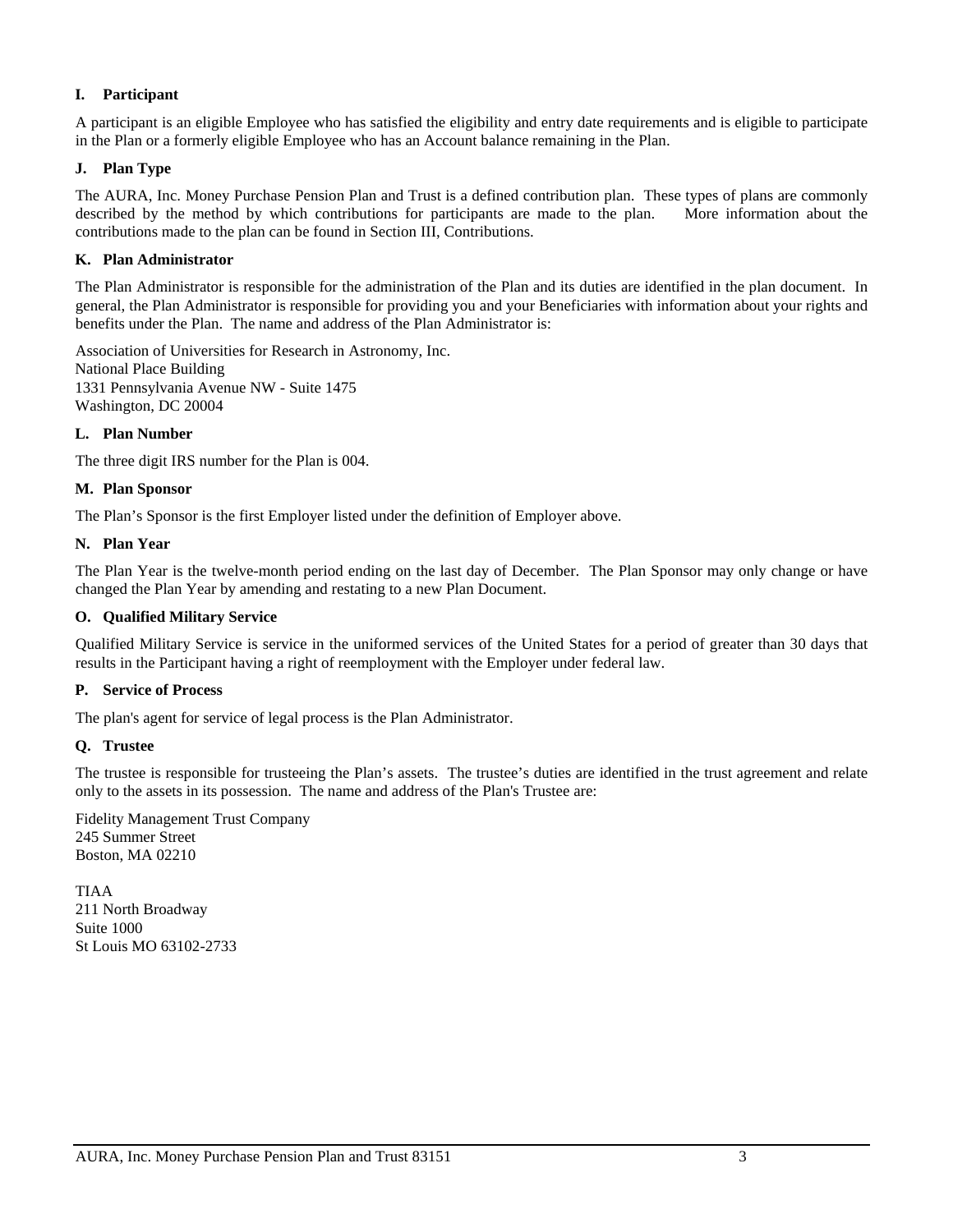## **I. Participant**

A participant is an eligible Employee who has satisfied the eligibility and entry date requirements and is eligible to participate in the Plan or a formerly eligible Employee who has an Account balance remaining in the Plan.

### **J. Plan Type**

The AURA, Inc. Money Purchase Pension Plan and Trust is a defined contribution plan. These types of plans are commonly described by the method by which contributions for participants are made to the plan. More information about the contributions made to the plan can be found in Section III, Contributions.

### **K. Plan Administrator**

The Plan Administrator is responsible for the administration of the Plan and its duties are identified in the plan document. In general, the Plan Administrator is responsible for providing you and your Beneficiaries with information about your rights and benefits under the Plan. The name and address of the Plan Administrator is:

Association of Universities for Research in Astronomy, Inc. National Place Building 1331 Pennsylvania Avenue NW - Suite 1475 Washington, DC 20004

#### **L. Plan Number**

The three digit IRS number for the Plan is 004.

#### **M. Plan Sponsor**

The Plan's Sponsor is the first Employer listed under the definition of Employer above.

#### **N. Plan Year**

The Plan Year is the twelve-month period ending on the last day of December. The Plan Sponsor may only change or have changed the Plan Year by amending and restating to a new Plan Document.

## **O. Qualified Military Service**

Qualified Military Service is service in the uniformed services of the United States for a period of greater than 30 days that results in the Participant having a right of reemployment with the Employer under federal law.

#### **P. Service of Process**

The plan's agent for service of legal process is the Plan Administrator.

#### **Q. Trustee**

The trustee is responsible for trusteeing the Plan's assets. The trustee's duties are identified in the trust agreement and relate only to the assets in its possession. The name and address of the Plan's Trustee are:

Fidelity Management Trust Company 245 Summer Street Boston, MA 02210

TIAA 211 North Broadway Suite 1000 St Louis MO 63102-2733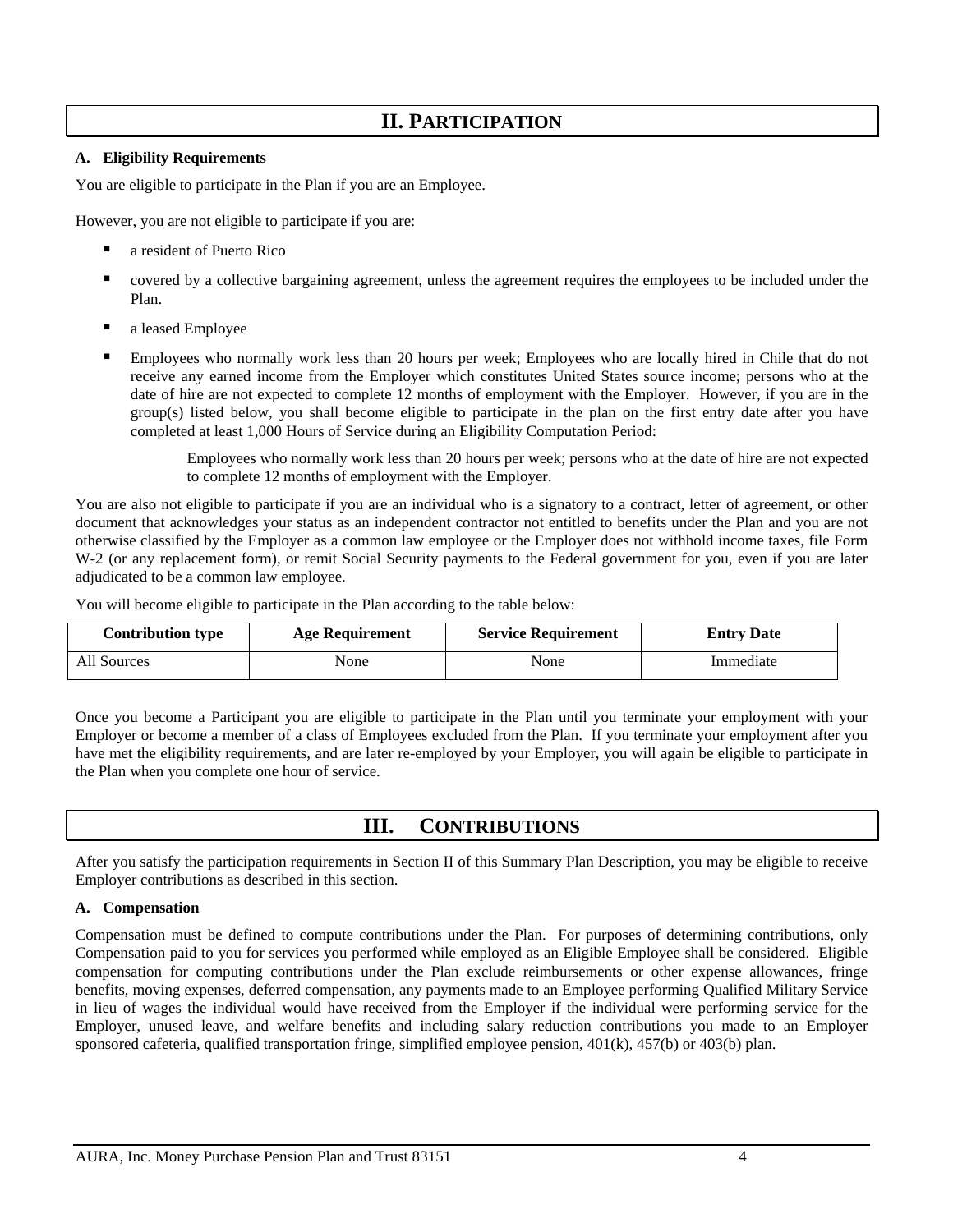# **II. PARTICIPATION**

## <span id="page-5-0"></span>**A. Eligibility Requirements**

You are eligible to participate in the Plan if you are an Employee.

However, you are not eligible to participate if you are:

- a resident of Puerto Rico
- covered by a collective bargaining agreement, unless the agreement requires the employees to be included under the Plan.
- a leased Employee
- Employees who normally work less than 20 hours per week; Employees who are locally hired in Chile that do not receive any earned income from the Employer which constitutes United States source income; persons who at the date of hire are not expected to complete 12 months of employment with the Employer. However, if you are in the group(s) listed below, you shall become eligible to participate in the plan on the first entry date after you have completed at least 1,000 Hours of Service during an Eligibility Computation Period:

Employees who normally work less than 20 hours per week; persons who at the date of hire are not expected to complete 12 months of employment with the Employer.

You are also not eligible to participate if you are an individual who is a signatory to a contract, letter of agreement, or other document that acknowledges your status as an independent contractor not entitled to benefits under the Plan and you are not otherwise classified by the Employer as a common law employee or the Employer does not withhold income taxes, file Form W-2 (or any replacement form), or remit Social Security payments to the Federal government for you, even if you are later adjudicated to be a common law employee.

You will become eligible to participate in the Plan according to the table below:

| <b>Contribution type</b> | <b>Age Requirement</b> | <b>Service Requirement</b> | <b>Entry Date</b> |
|--------------------------|------------------------|----------------------------|-------------------|
| All Sources              | None                   | None                       | Immediate         |

Once you become a Participant you are eligible to participate in the Plan until you terminate your employment with your Employer or become a member of a class of Employees excluded from the Plan. If you terminate your employment after you have met the eligibility requirements, and are later re-employed by your Employer, you will again be eligible to participate in the Plan when you complete one hour of service.

## **III. CONTRIBUTIONS**

<span id="page-5-1"></span>After you satisfy the participation requirements in Section II of this Summary Plan Description, you may be eligible to receive Employer contributions as described in this section.

### **A. Compensation**

Compensation must be defined to compute contributions under the Plan. For purposes of determining contributions, only Compensation paid to you for services you performed while employed as an Eligible Employee shall be considered. Eligible compensation for computing contributions under the Plan exclude reimbursements or other expense allowances, fringe benefits, moving expenses, deferred compensation, any payments made to an Employee performing Qualified Military Service in lieu of wages the individual would have received from the Employer if the individual were performing service for the Employer, unused leave, and welfare benefits and including salary reduction contributions you made to an Employer sponsored cafeteria, qualified transportation fringe, simplified employee pension, 401(k), 457(b) or 403(b) plan.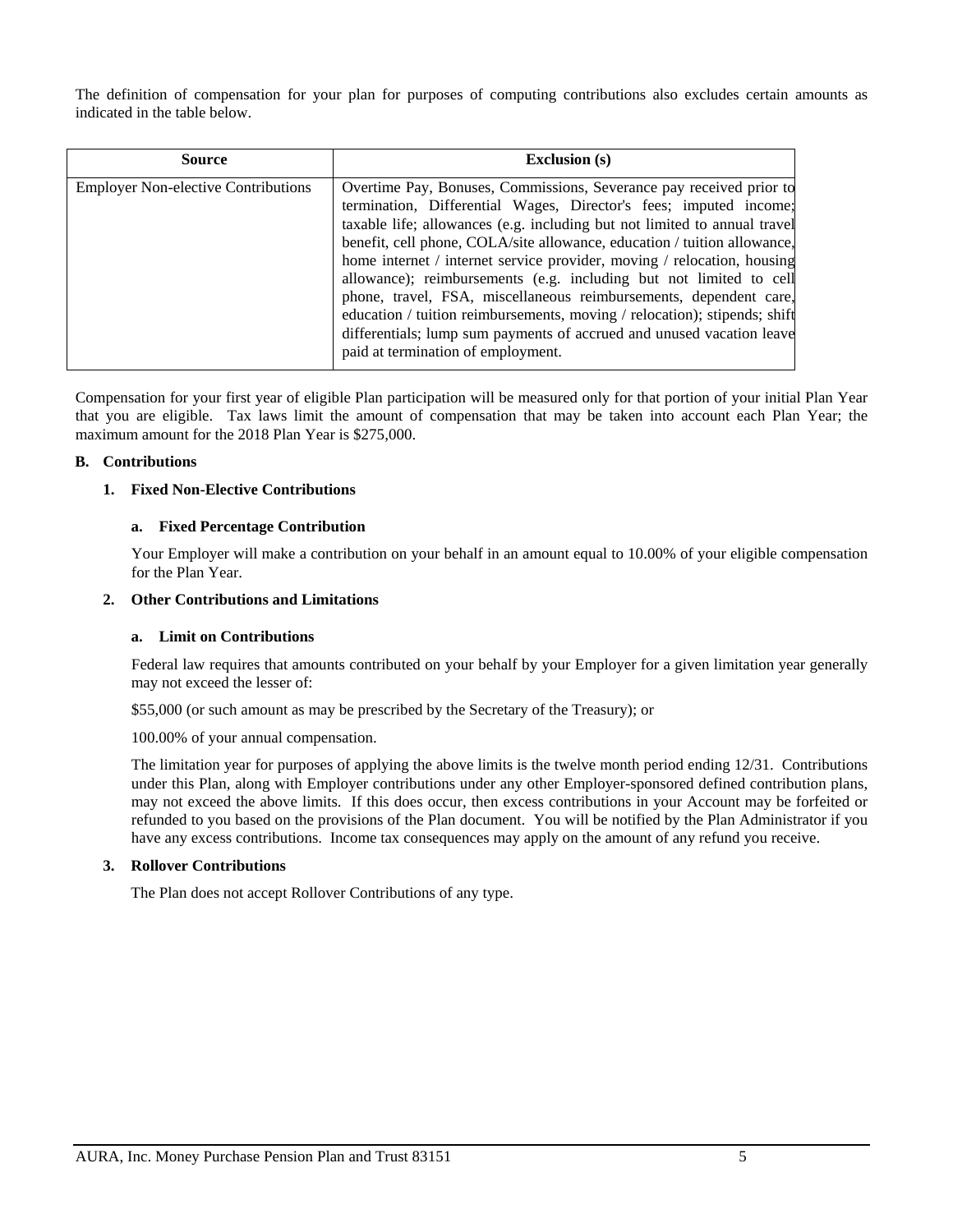The definition of compensation for your plan for purposes of computing contributions also excludes certain amounts as indicated in the table below.

| <b>Source</b>                              | <b>Exclusion</b> (s)                                                                                                                                                                                                                                                                                                                                                                                                                                                                                                                                                                                                                                                                                                |
|--------------------------------------------|---------------------------------------------------------------------------------------------------------------------------------------------------------------------------------------------------------------------------------------------------------------------------------------------------------------------------------------------------------------------------------------------------------------------------------------------------------------------------------------------------------------------------------------------------------------------------------------------------------------------------------------------------------------------------------------------------------------------|
| <b>Employer Non-elective Contributions</b> | Overtime Pay, Bonuses, Commissions, Severance pay received prior to<br>termination, Differential Wages, Director's fees; imputed income;<br>taxable life; allowances (e.g. including but not limited to annual travel<br>benefit, cell phone, COLA/site allowance, education / tuition allowance,<br>home internet / internet service provider, moving / relocation, housing<br>allowance); reimbursements (e.g. including but not limited to cell<br>phone, travel, FSA, miscellaneous reimbursements, dependent care,<br>education / tuition reimbursements, moving / relocation); stipends; shift<br>differentials; lump sum payments of accrued and unused vacation leave<br>paid at termination of employment. |

Compensation for your first year of eligible Plan participation will be measured only for that portion of your initial Plan Year that you are eligible. Tax laws limit the amount of compensation that may be taken into account each Plan Year; the maximum amount for the 2018 Plan Year is \$275,000.

#### **B. Contributions**

### **1. Fixed Non-Elective Contributions**

#### **a. Fixed Percentage Contribution**

Your Employer will make a contribution on your behalf in an amount equal to 10.00% of your eligible compensation for the Plan Year.

## **2. Other Contributions and Limitations**

#### **a. Limit on Contributions**

Federal law requires that amounts contributed on your behalf by your Employer for a given limitation year generally may not exceed the lesser of:

\$55,000 (or such amount as may be prescribed by the Secretary of the Treasury); or

100.00% of your annual compensation.

The limitation year for purposes of applying the above limits is the twelve month period ending 12/31. Contributions under this Plan, along with Employer contributions under any other Employer-sponsored defined contribution plans, may not exceed the above limits. If this does occur, then excess contributions in your Account may be forfeited or refunded to you based on the provisions of the Plan document. You will be notified by the Plan Administrator if you have any excess contributions. Income tax consequences may apply on the amount of any refund you receive.

#### **3. Rollover Contributions**

The Plan does not accept Rollover Contributions of any type.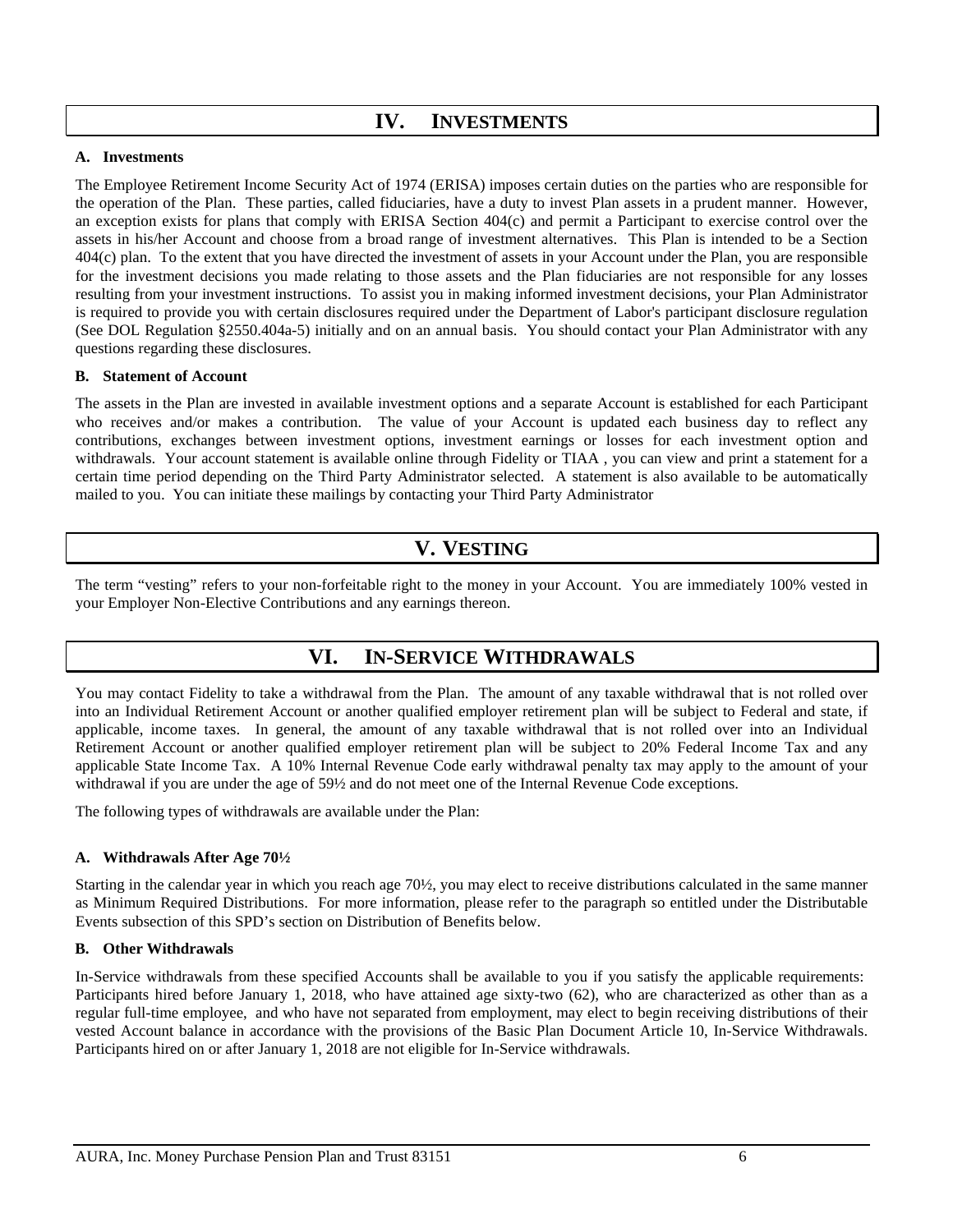# **IV. INVESTMENTS**

### <span id="page-7-0"></span>**A. Investments**

The Employee Retirement Income Security Act of 1974 (ERISA) imposes certain duties on the parties who are responsible for the operation of the Plan. These parties, called fiduciaries, have a duty to invest Plan assets in a prudent manner. However, an exception exists for plans that comply with ERISA Section 404(c) and permit a Participant to exercise control over the assets in his/her Account and choose from a broad range of investment alternatives. This Plan is intended to be a Section 404(c) plan. To the extent that you have directed the investment of assets in your Account under the Plan, you are responsible for the investment decisions you made relating to those assets and the Plan fiduciaries are not responsible for any losses resulting from your investment instructions. To assist you in making informed investment decisions, your Plan Administrator is required to provide you with certain disclosures required under the Department of Labor's participant disclosure regulation (See DOL Regulation §2550.404a-5) initially and on an annual basis. You should contact your Plan Administrator with any questions regarding these disclosures.

### **B. Statement of Account**

The assets in the Plan are invested in available investment options and a separate Account is established for each Participant who receives and/or makes a contribution. The value of your Account is updated each business day to reflect any contributions, exchanges between investment options, investment earnings or losses for each investment option and withdrawals. Your account statement is available online through Fidelity or TIAA , you can view and print a statement for a certain time period depending on the Third Party Administrator selected. A statement is also available to be automatically mailed to you. You can initiate these mailings by contacting your Third Party Administrator

# **V. VESTING**

<span id="page-7-2"></span><span id="page-7-1"></span>The term "vesting" refers to your non-forfeitable right to the money in your Account. You are immediately 100% vested in your Employer Non-Elective Contributions and any earnings thereon.

# **VI. IN-SERVICE WITHDRAWALS**

You may contact Fidelity to take a withdrawal from the Plan. The amount of any taxable withdrawal that is not rolled over into an Individual Retirement Account or another qualified employer retirement plan will be subject to Federal and state, if applicable, income taxes. In general, the amount of any taxable withdrawal that is not rolled over into an Individual Retirement Account or another qualified employer retirement plan will be subject to 20% Federal Income Tax and any applicable State Income Tax. A 10% Internal Revenue Code early withdrawal penalty tax may apply to the amount of your withdrawal if you are under the age of 59½ and do not meet one of the Internal Revenue Code exceptions.

The following types of withdrawals are available under the Plan:

### **A. Withdrawals After Age 70½**

Starting in the calendar year in which you reach age 70½, you may elect to receive distributions calculated in the same manner as Minimum Required Distributions. For more information, please refer to the paragraph so entitled under the Distributable Events subsection of this SPD's section on Distribution of Benefits below.

### **B. Other Withdrawals**

In-Service withdrawals from these specified Accounts shall be available to you if you satisfy the applicable requirements: Participants hired before January 1, 2018, who have attained age sixty-two (62), who are characterized as other than as a regular full-time employee, and who have not separated from employment, may elect to begin receiving distributions of their vested Account balance in accordance with the provisions of the Basic Plan Document Article 10, In-Service Withdrawals. Participants hired on or after January 1, 2018 are not eligible for In-Service withdrawals.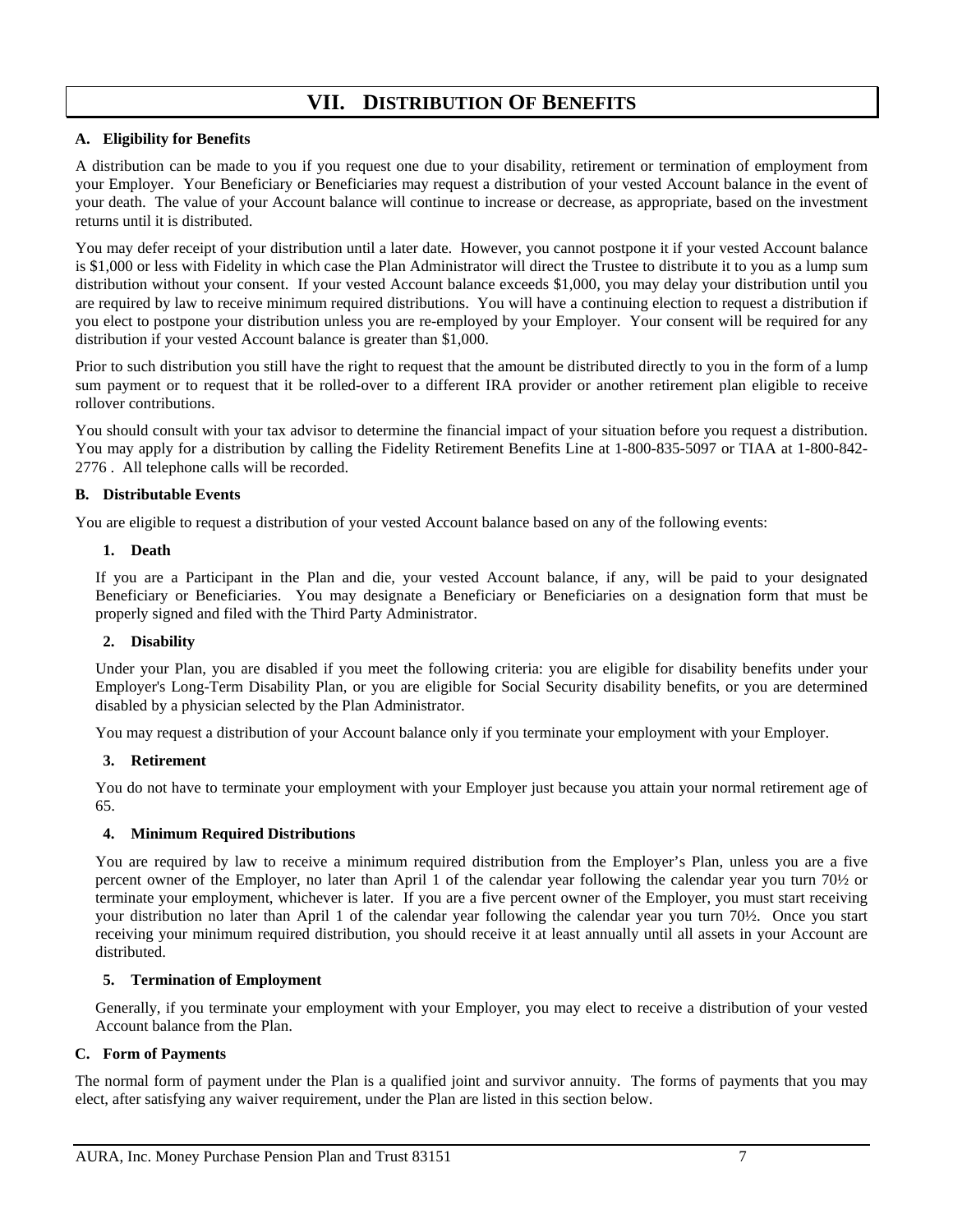# **VII. DISTRIBUTION OF BENEFITS**

## <span id="page-8-0"></span>**A. Eligibility for Benefits**

A distribution can be made to you if you request one due to your disability, retirement or termination of employment from your Employer. Your Beneficiary or Beneficiaries may request a distribution of your vested Account balance in the event of your death. The value of your Account balance will continue to increase or decrease, as appropriate, based on the investment returns until it is distributed.

You may defer receipt of your distribution until a later date. However, you cannot postpone it if your vested Account balance is \$1,000 or less with Fidelity in which case the Plan Administrator will direct the Trustee to distribute it to you as a lump sum distribution without your consent. If your vested Account balance exceeds \$1,000, you may delay your distribution until you are required by law to receive minimum required distributions. You will have a continuing election to request a distribution if you elect to postpone your distribution unless you are re-employed by your Employer. Your consent will be required for any distribution if your vested Account balance is greater than \$1,000.

Prior to such distribution you still have the right to request that the amount be distributed directly to you in the form of a lump sum payment or to request that it be rolled-over to a different IRA provider or another retirement plan eligible to receive rollover contributions.

You should consult with your tax advisor to determine the financial impact of your situation before you request a distribution. You may apply for a distribution by calling the Fidelity Retirement Benefits Line at 1-800-835-5097 or TIAA at 1-800-842- 2776 . All telephone calls will be recorded.

## **B. Distributable Events**

You are eligible to request a distribution of your vested Account balance based on any of the following events:

### **1. Death**

If you are a Participant in the Plan and die, your vested Account balance, if any, will be paid to your designated Beneficiary or Beneficiaries. You may designate a Beneficiary or Beneficiaries on a designation form that must be properly signed and filed with the Third Party Administrator.

### **2. Disability**

Under your Plan, you are disabled if you meet the following criteria: you are eligible for disability benefits under your Employer's Long-Term Disability Plan, or you are eligible for Social Security disability benefits, or you are determined disabled by a physician selected by the Plan Administrator.

You may request a distribution of your Account balance only if you terminate your employment with your Employer.

### **3. Retirement**

You do not have to terminate your employment with your Employer just because you attain your normal retirement age of 65.

### **4. Minimum Required Distributions**

You are required by law to receive a minimum required distribution from the Employer's Plan, unless you are a five percent owner of the Employer, no later than April 1 of the calendar year following the calendar year you turn 70½ or terminate your employment, whichever is later. If you are a five percent owner of the Employer, you must start receiving your distribution no later than April 1 of the calendar year following the calendar year you turn 70½. Once you start receiving your minimum required distribution, you should receive it at least annually until all assets in your Account are distributed.

### **5. Termination of Employment**

Generally, if you terminate your employment with your Employer, you may elect to receive a distribution of your vested Account balance from the Plan.

### **C. Form of Payments**

The normal form of payment under the Plan is a qualified joint and survivor annuity. The forms of payments that you may elect, after satisfying any waiver requirement, under the Plan are listed in this section below.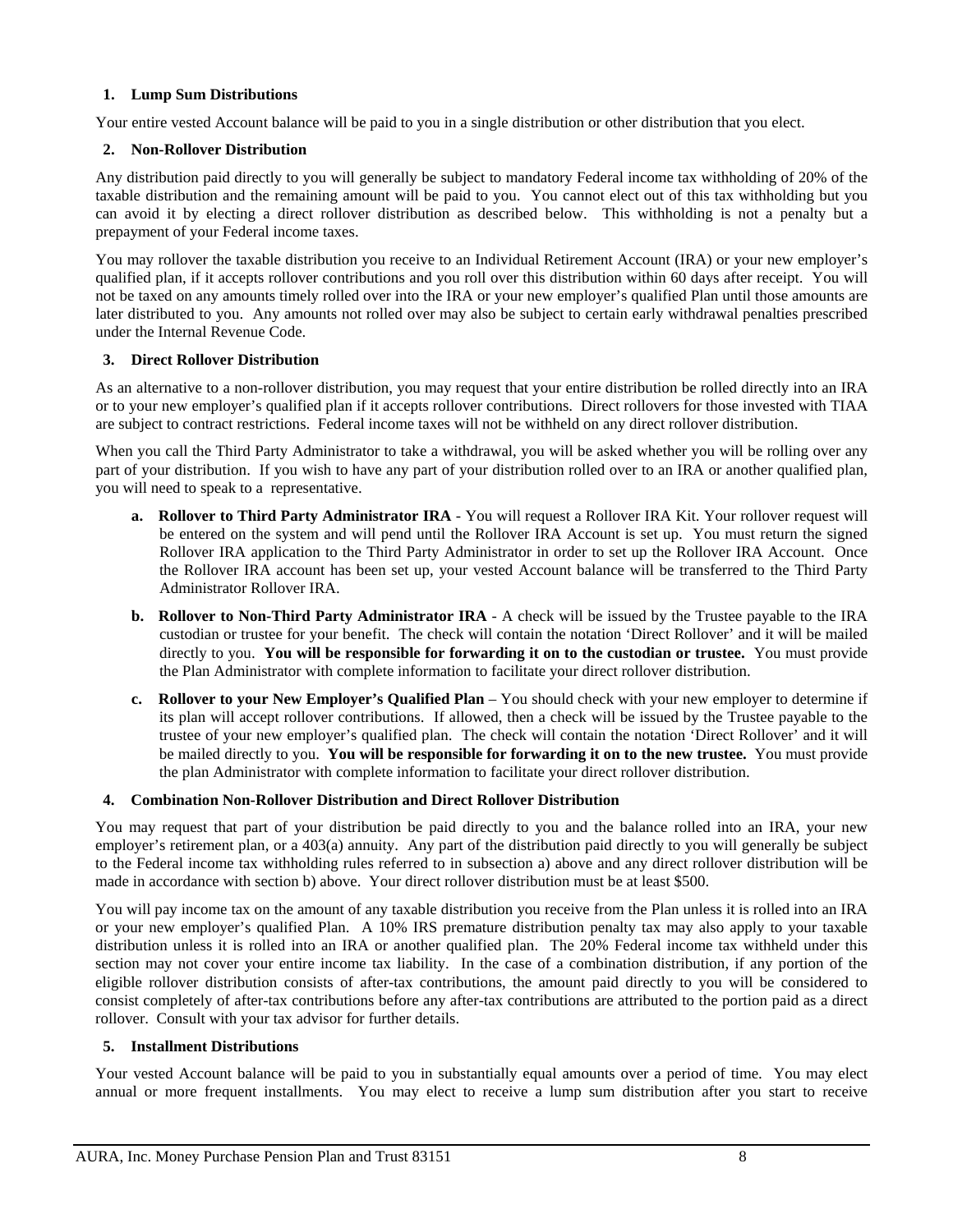### **1. Lump Sum Distributions**

Your entire vested Account balance will be paid to you in a single distribution or other distribution that you elect.

### **2. Non-Rollover Distribution**

Any distribution paid directly to you will generally be subject to mandatory Federal income tax withholding of 20% of the taxable distribution and the remaining amount will be paid to you. You cannot elect out of this tax withholding but you can avoid it by electing a direct rollover distribution as described below. This withholding is not a penalty but a prepayment of your Federal income taxes.

You may rollover the taxable distribution you receive to an Individual Retirement Account (IRA) or your new employer's qualified plan, if it accepts rollover contributions and you roll over this distribution within 60 days after receipt. You will not be taxed on any amounts timely rolled over into the IRA or your new employer's qualified Plan until those amounts are later distributed to you. Any amounts not rolled over may also be subject to certain early withdrawal penalties prescribed under the Internal Revenue Code.

#### **3. Direct Rollover Distribution**

As an alternative to a non-rollover distribution, you may request that your entire distribution be rolled directly into an IRA or to your new employer's qualified plan if it accepts rollover contributions. Direct rollovers for those invested with TIAA are subject to contract restrictions. Federal income taxes will not be withheld on any direct rollover distribution.

When you call the Third Party Administrator to take a withdrawal, you will be asked whether you will be rolling over any part of your distribution. If you wish to have any part of your distribution rolled over to an IRA or another qualified plan, you will need to speak to a representative.

- **a. Rollover to Third Party Administrator IRA** You will request a Rollover IRA Kit. Your rollover request will be entered on the system and will pend until the Rollover IRA Account is set up. You must return the signed Rollover IRA application to the Third Party Administrator in order to set up the Rollover IRA Account. Once the Rollover IRA account has been set up, your vested Account balance will be transferred to the Third Party Administrator Rollover IRA.
- **b. Rollover to Non-Third Party Administrator IRA** A check will be issued by the Trustee payable to the IRA custodian or trustee for your benefit. The check will contain the notation 'Direct Rollover' and it will be mailed directly to you. **You will be responsible for forwarding it on to the custodian or trustee.** You must provide the Plan Administrator with complete information to facilitate your direct rollover distribution.
- **c. Rollover to your New Employer's Qualified Plan** You should check with your new employer to determine if its plan will accept rollover contributions. If allowed, then a check will be issued by the Trustee payable to the trustee of your new employer's qualified plan. The check will contain the notation 'Direct Rollover' and it will be mailed directly to you. **You will be responsible for forwarding it on to the new trustee.** You must provide the plan Administrator with complete information to facilitate your direct rollover distribution.

### **4. Combination Non-Rollover Distribution and Direct Rollover Distribution**

You may request that part of your distribution be paid directly to you and the balance rolled into an IRA, your new employer's retirement plan, or a 403(a) annuity. Any part of the distribution paid directly to you will generally be subject to the Federal income tax withholding rules referred to in subsection a) above and any direct rollover distribution will be made in accordance with section b) above. Your direct rollover distribution must be at least \$500.

You will pay income tax on the amount of any taxable distribution you receive from the Plan unless it is rolled into an IRA or your new employer's qualified Plan. A 10% IRS premature distribution penalty tax may also apply to your taxable distribution unless it is rolled into an IRA or another qualified plan. The 20% Federal income tax withheld under this section may not cover your entire income tax liability. In the case of a combination distribution, if any portion of the eligible rollover distribution consists of after-tax contributions, the amount paid directly to you will be considered to consist completely of after-tax contributions before any after-tax contributions are attributed to the portion paid as a direct rollover. Consult with your tax advisor for further details.

#### **5. Installment Distributions**

Your vested Account balance will be paid to you in substantially equal amounts over a period of time. You may elect annual or more frequent installments. You may elect to receive a lump sum distribution after you start to receive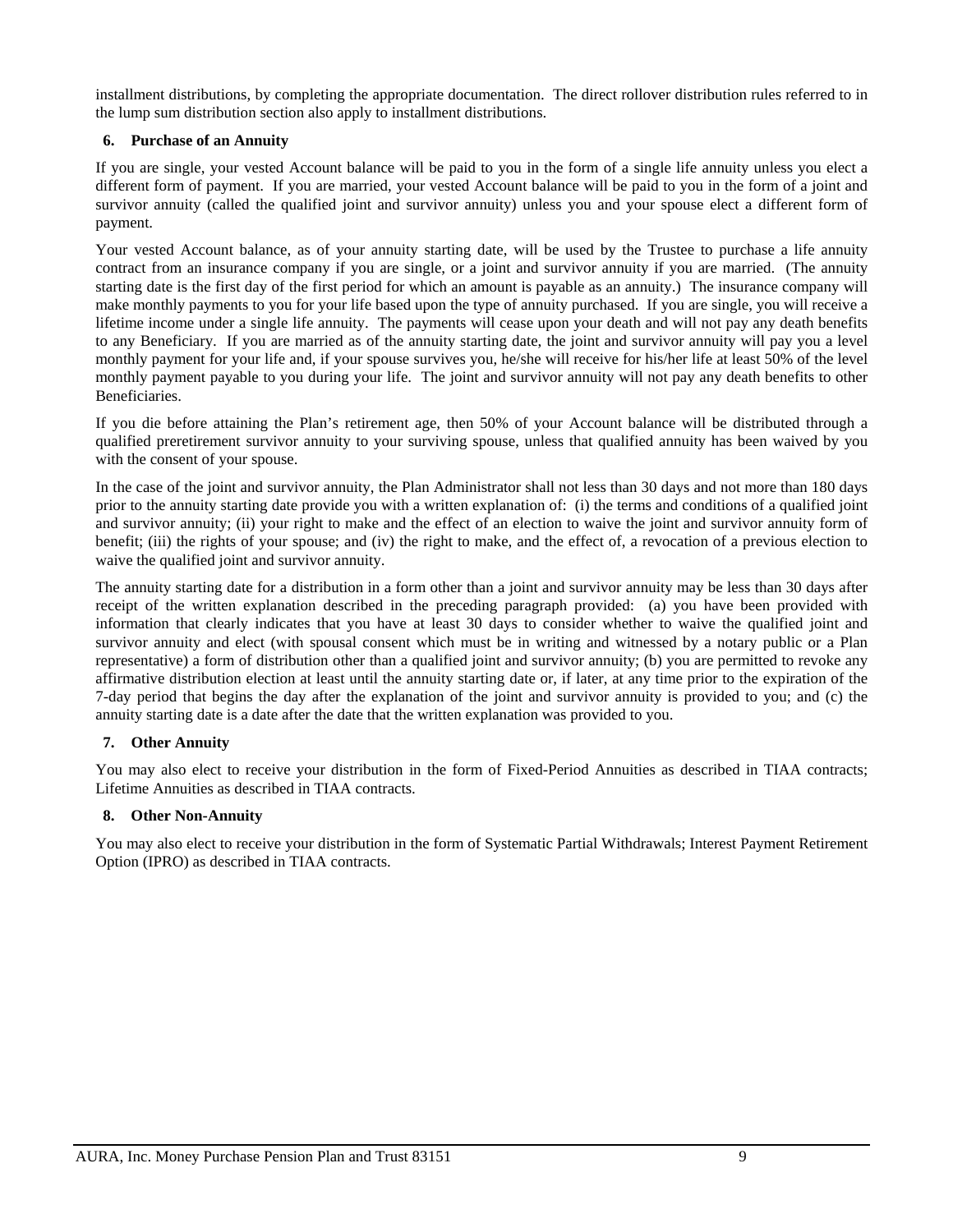installment distributions, by completing the appropriate documentation. The direct rollover distribution rules referred to in the lump sum distribution section also apply to installment distributions.

## **6. Purchase of an Annuity**

If you are single, your vested Account balance will be paid to you in the form of a single life annuity unless you elect a different form of payment. If you are married, your vested Account balance will be paid to you in the form of a joint and survivor annuity (called the qualified joint and survivor annuity) unless you and your spouse elect a different form of payment.

Your vested Account balance, as of your annuity starting date, will be used by the Trustee to purchase a life annuity contract from an insurance company if you are single, or a joint and survivor annuity if you are married. (The annuity starting date is the first day of the first period for which an amount is payable as an annuity.) The insurance company will make monthly payments to you for your life based upon the type of annuity purchased. If you are single, you will receive a lifetime income under a single life annuity. The payments will cease upon your death and will not pay any death benefits to any Beneficiary. If you are married as of the annuity starting date, the joint and survivor annuity will pay you a level monthly payment for your life and, if your spouse survives you, he/she will receive for his/her life at least 50% of the level monthly payment payable to you during your life. The joint and survivor annuity will not pay any death benefits to other Beneficiaries.

If you die before attaining the Plan's retirement age, then 50% of your Account balance will be distributed through a qualified preretirement survivor annuity to your surviving spouse, unless that qualified annuity has been waived by you with the consent of your spouse.

In the case of the joint and survivor annuity, the Plan Administrator shall not less than 30 days and not more than 180 days prior to the annuity starting date provide you with a written explanation of: (i) the terms and conditions of a qualified joint and survivor annuity; (ii) your right to make and the effect of an election to waive the joint and survivor annuity form of benefit; (iii) the rights of your spouse; and (iv) the right to make, and the effect of, a revocation of a previous election to waive the qualified joint and survivor annuity.

The annuity starting date for a distribution in a form other than a joint and survivor annuity may be less than 30 days after receipt of the written explanation described in the preceding paragraph provided: (a) you have been provided with information that clearly indicates that you have at least 30 days to consider whether to waive the qualified joint and survivor annuity and elect (with spousal consent which must be in writing and witnessed by a notary public or a Plan representative) a form of distribution other than a qualified joint and survivor annuity; (b) you are permitted to revoke any affirmative distribution election at least until the annuity starting date or, if later, at any time prior to the expiration of the 7-day period that begins the day after the explanation of the joint and survivor annuity is provided to you; and (c) the annuity starting date is a date after the date that the written explanation was provided to you.

## **7. Other Annuity**

You may also elect to receive your distribution in the form of Fixed-Period Annuities as described in TIAA contracts; Lifetime Annuities as described in TIAA contracts.

### **8. Other Non-Annuity**

You may also elect to receive your distribution in the form of Systematic Partial Withdrawals; Interest Payment Retirement Option (IPRO) as described in TIAA contracts.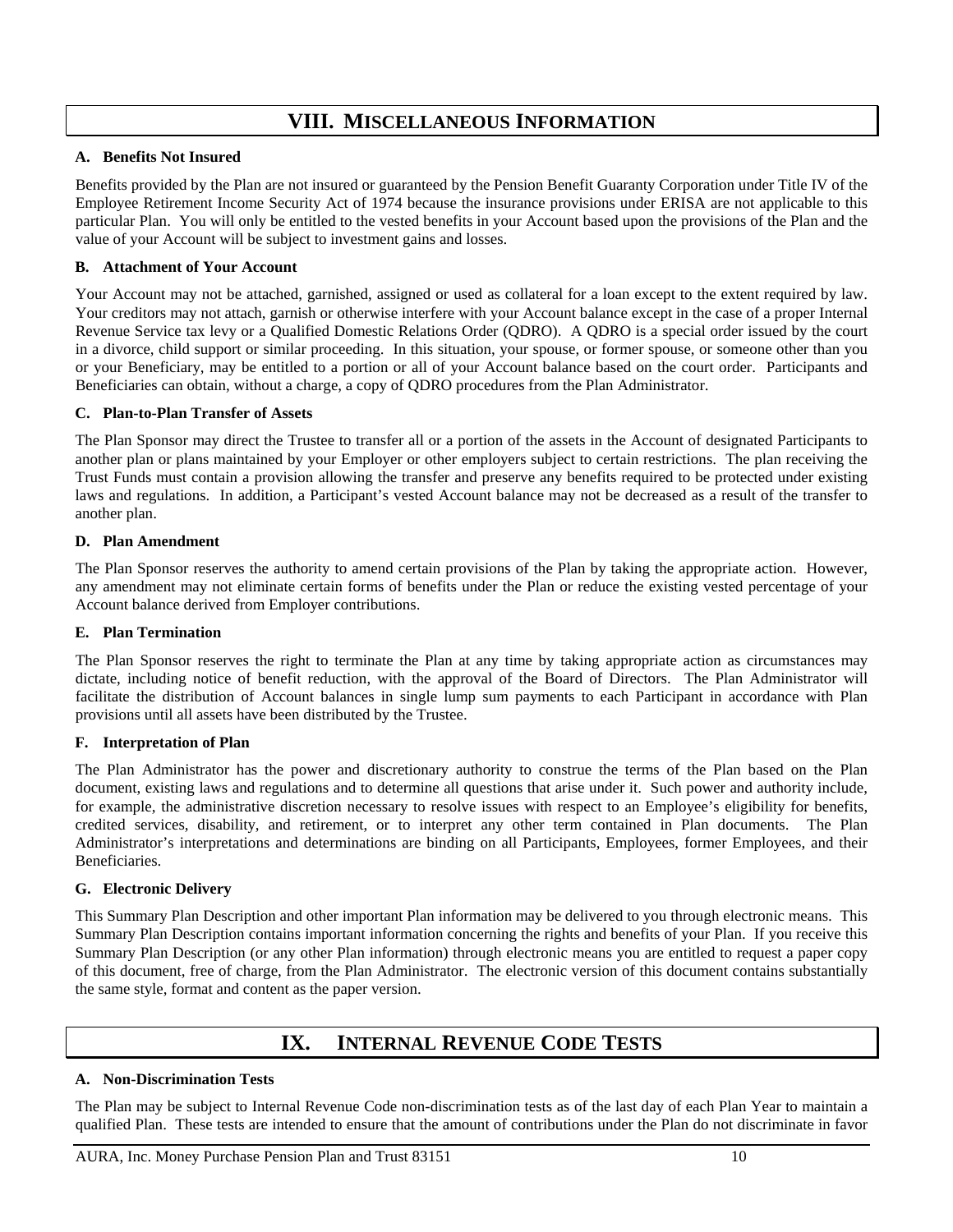# **VIII. MISCELLANEOUS INFORMATION**

## <span id="page-11-0"></span>**A. Benefits Not Insured**

Benefits provided by the Plan are not insured or guaranteed by the Pension Benefit Guaranty Corporation under Title IV of the Employee Retirement Income Security Act of 1974 because the insurance provisions under ERISA are not applicable to this particular Plan. You will only be entitled to the vested benefits in your Account based upon the provisions of the Plan and the value of your Account will be subject to investment gains and losses.

## **B. Attachment of Your Account**

Your Account may not be attached, garnished, assigned or used as collateral for a loan except to the extent required by law. Your creditors may not attach, garnish or otherwise interfere with your Account balance except in the case of a proper Internal Revenue Service tax levy or a Qualified Domestic Relations Order (QDRO). A QDRO is a special order issued by the court in a divorce, child support or similar proceeding. In this situation, your spouse, or former spouse, or someone other than you or your Beneficiary, may be entitled to a portion or all of your Account balance based on the court order. Participants and Beneficiaries can obtain, without a charge, a copy of QDRO procedures from the Plan Administrator.

## **C. Plan-to-Plan Transfer of Assets**

The Plan Sponsor may direct the Trustee to transfer all or a portion of the assets in the Account of designated Participants to another plan or plans maintained by your Employer or other employers subject to certain restrictions. The plan receiving the Trust Funds must contain a provision allowing the transfer and preserve any benefits required to be protected under existing laws and regulations. In addition, a Participant's vested Account balance may not be decreased as a result of the transfer to another plan.

### **D. Plan Amendment**

The Plan Sponsor reserves the authority to amend certain provisions of the Plan by taking the appropriate action. However, any amendment may not eliminate certain forms of benefits under the Plan or reduce the existing vested percentage of your Account balance derived from Employer contributions.

### **E. Plan Termination**

The Plan Sponsor reserves the right to terminate the Plan at any time by taking appropriate action as circumstances may dictate, including notice of benefit reduction, with the approval of the Board of Directors. The Plan Administrator will facilitate the distribution of Account balances in single lump sum payments to each Participant in accordance with Plan provisions until all assets have been distributed by the Trustee.

### **F. Interpretation of Plan**

The Plan Administrator has the power and discretionary authority to construe the terms of the Plan based on the Plan document, existing laws and regulations and to determine all questions that arise under it. Such power and authority include, for example, the administrative discretion necessary to resolve issues with respect to an Employee's eligibility for benefits, credited services, disability, and retirement, or to interpret any other term contained in Plan documents. The Plan Administrator's interpretations and determinations are binding on all Participants, Employees, former Employees, and their Beneficiaries.

### **G. Electronic Delivery**

This Summary Plan Description and other important Plan information may be delivered to you through electronic means. This Summary Plan Description contains important information concerning the rights and benefits of your Plan. If you receive this Summary Plan Description (or any other Plan information) through electronic means you are entitled to request a paper copy of this document, free of charge, from the Plan Administrator. The electronic version of this document contains substantially the same style, format and content as the paper version.

# **IX. INTERNAL REVENUE CODE TESTS**

## <span id="page-11-1"></span>**A. Non-Discrimination Tests**

The Plan may be subject to Internal Revenue Code non-discrimination tests as of the last day of each Plan Year to maintain a qualified Plan. These tests are intended to ensure that the amount of contributions under the Plan do not discriminate in favor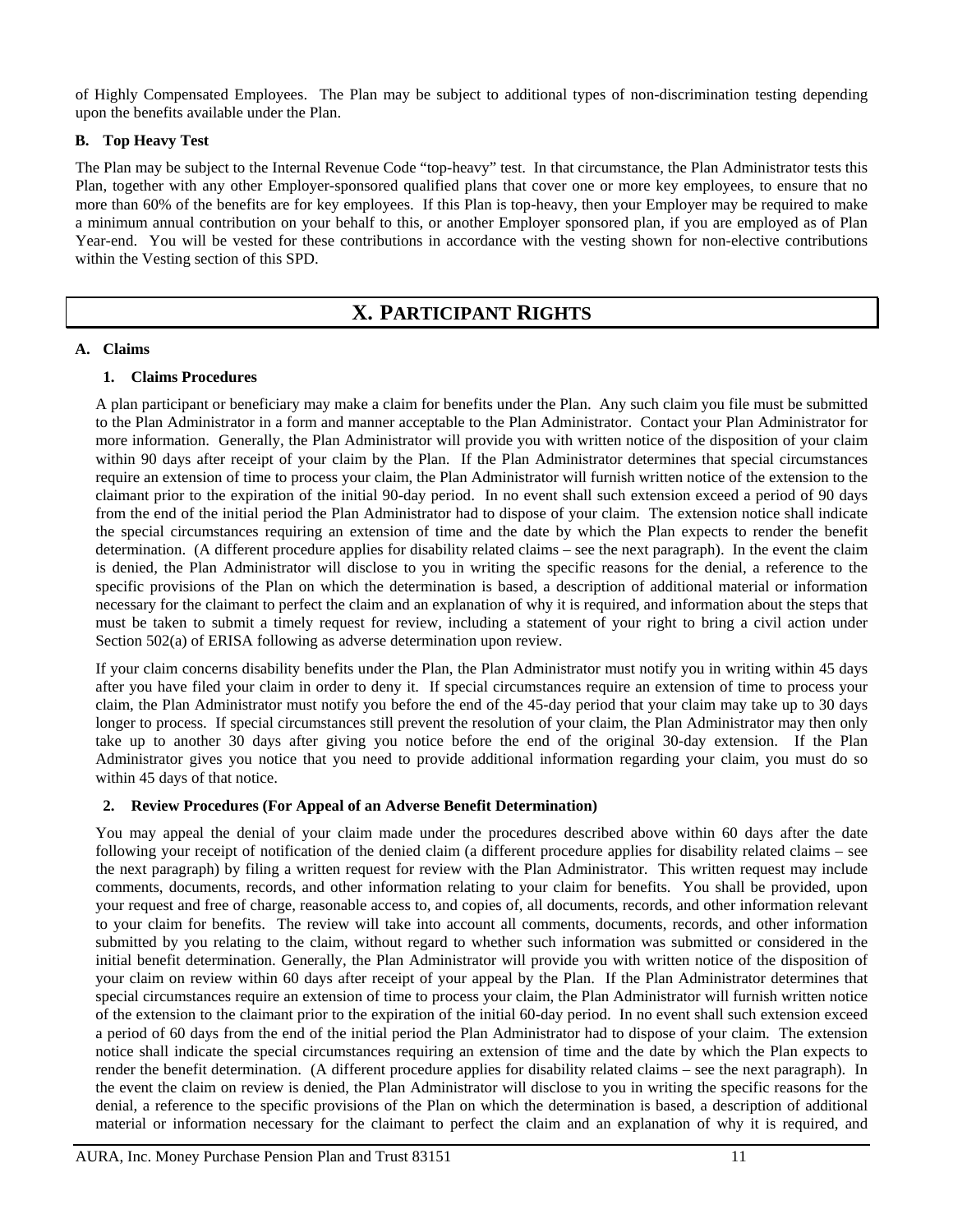of Highly Compensated Employees. The Plan may be subject to additional types of non-discrimination testing depending upon the benefits available under the Plan.

## **B. Top Heavy Test**

The Plan may be subject to the Internal Revenue Code "top-heavy" test. In that circumstance, the Plan Administrator tests this Plan, together with any other Employer-sponsored qualified plans that cover one or more key employees, to ensure that no more than 60% of the benefits are for key employees. If this Plan is top-heavy, then your Employer may be required to make a minimum annual contribution on your behalf to this, or another Employer sponsored plan, if you are employed as of Plan Year-end. You will be vested for these contributions in accordance with the vesting shown for non-elective contributions within the Vesting section of this SPD.

# **X. PARTICIPANT RIGHTS**

### <span id="page-12-0"></span>**A. Claims**

## **1. Claims Procedures**

A plan participant or beneficiary may make a claim for benefits under the Plan. Any such claim you file must be submitted to the Plan Administrator in a form and manner acceptable to the Plan Administrator. Contact your Plan Administrator for more information. Generally, the Plan Administrator will provide you with written notice of the disposition of your claim within 90 days after receipt of your claim by the Plan. If the Plan Administrator determines that special circumstances require an extension of time to process your claim, the Plan Administrator will furnish written notice of the extension to the claimant prior to the expiration of the initial 90-day period. In no event shall such extension exceed a period of 90 days from the end of the initial period the Plan Administrator had to dispose of your claim. The extension notice shall indicate the special circumstances requiring an extension of time and the date by which the Plan expects to render the benefit determination. (A different procedure applies for disability related claims – see the next paragraph). In the event the claim is denied, the Plan Administrator will disclose to you in writing the specific reasons for the denial, a reference to the specific provisions of the Plan on which the determination is based, a description of additional material or information necessary for the claimant to perfect the claim and an explanation of why it is required, and information about the steps that must be taken to submit a timely request for review, including a statement of your right to bring a civil action under Section 502(a) of ERISA following as adverse determination upon review.

If your claim concerns disability benefits under the Plan, the Plan Administrator must notify you in writing within 45 days after you have filed your claim in order to deny it. If special circumstances require an extension of time to process your claim, the Plan Administrator must notify you before the end of the 45-day period that your claim may take up to 30 days longer to process. If special circumstances still prevent the resolution of your claim, the Plan Administrator may then only take up to another 30 days after giving you notice before the end of the original 30-day extension. If the Plan Administrator gives you notice that you need to provide additional information regarding your claim, you must do so within 45 days of that notice.

### **2. Review Procedures (For Appeal of an Adverse Benefit Determination)**

You may appeal the denial of your claim made under the procedures described above within 60 days after the date following your receipt of notification of the denied claim (a different procedure applies for disability related claims – see the next paragraph) by filing a written request for review with the Plan Administrator. This written request may include comments, documents, records, and other information relating to your claim for benefits. You shall be provided, upon your request and free of charge, reasonable access to, and copies of, all documents, records, and other information relevant to your claim for benefits. The review will take into account all comments, documents, records, and other information submitted by you relating to the claim, without regard to whether such information was submitted or considered in the initial benefit determination. Generally, the Plan Administrator will provide you with written notice of the disposition of your claim on review within 60 days after receipt of your appeal by the Plan. If the Plan Administrator determines that special circumstances require an extension of time to process your claim, the Plan Administrator will furnish written notice of the extension to the claimant prior to the expiration of the initial 60-day period. In no event shall such extension exceed a period of 60 days from the end of the initial period the Plan Administrator had to dispose of your claim. The extension notice shall indicate the special circumstances requiring an extension of time and the date by which the Plan expects to render the benefit determination. (A different procedure applies for disability related claims – see the next paragraph). In the event the claim on review is denied, the Plan Administrator will disclose to you in writing the specific reasons for the denial, a reference to the specific provisions of the Plan on which the determination is based, a description of additional material or information necessary for the claimant to perfect the claim and an explanation of why it is required, and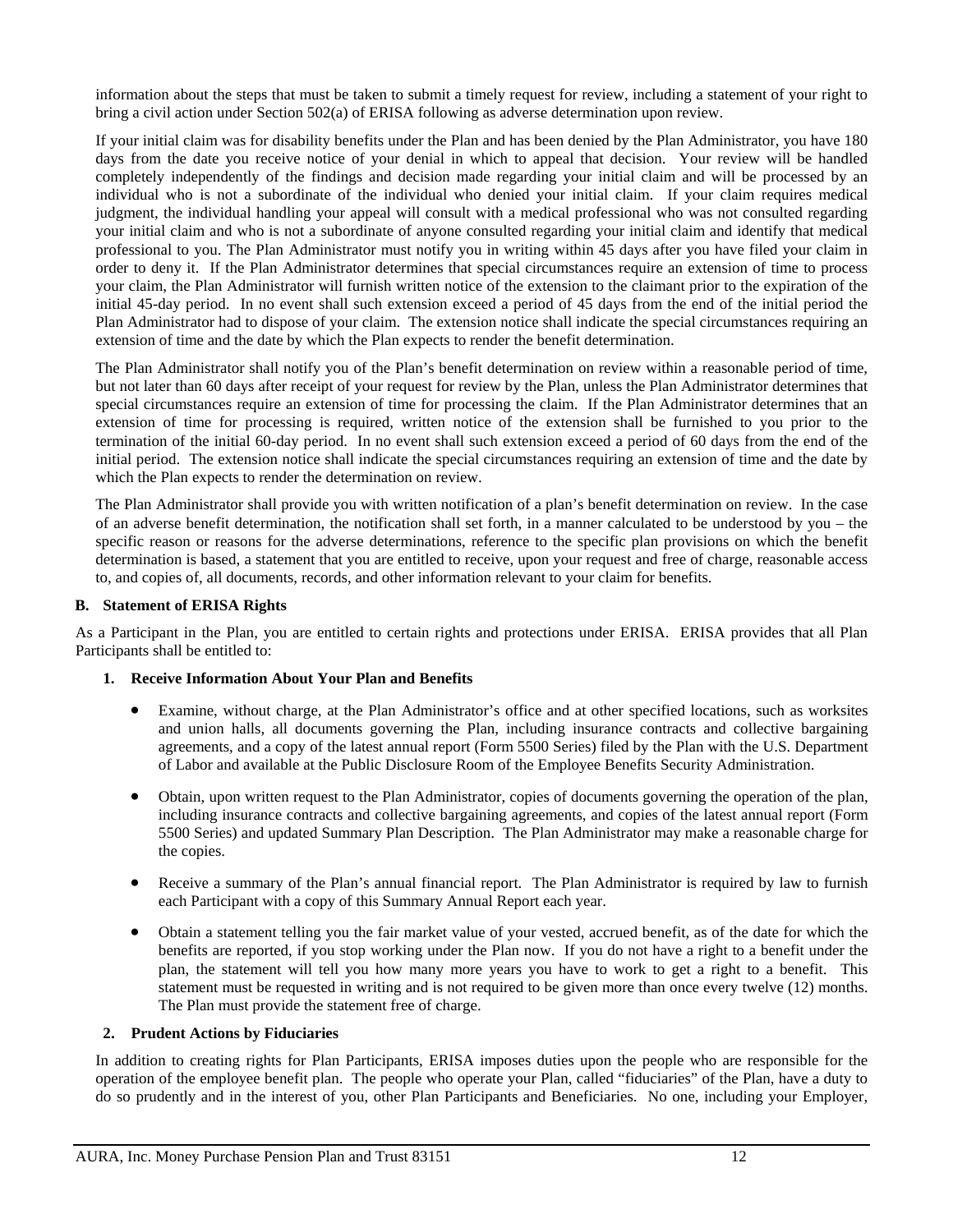information about the steps that must be taken to submit a timely request for review, including a statement of your right to bring a civil action under Section 502(a) of ERISA following as adverse determination upon review.

If your initial claim was for disability benefits under the Plan and has been denied by the Plan Administrator, you have 180 days from the date you receive notice of your denial in which to appeal that decision. Your review will be handled completely independently of the findings and decision made regarding your initial claim and will be processed by an individual who is not a subordinate of the individual who denied your initial claim. If your claim requires medical judgment, the individual handling your appeal will consult with a medical professional who was not consulted regarding your initial claim and who is not a subordinate of anyone consulted regarding your initial claim and identify that medical professional to you. The Plan Administrator must notify you in writing within 45 days after you have filed your claim in order to deny it. If the Plan Administrator determines that special circumstances require an extension of time to process your claim, the Plan Administrator will furnish written notice of the extension to the claimant prior to the expiration of the initial 45-day period. In no event shall such extension exceed a period of 45 days from the end of the initial period the Plan Administrator had to dispose of your claim. The extension notice shall indicate the special circumstances requiring an extension of time and the date by which the Plan expects to render the benefit determination.

The Plan Administrator shall notify you of the Plan's benefit determination on review within a reasonable period of time, but not later than 60 days after receipt of your request for review by the Plan, unless the Plan Administrator determines that special circumstances require an extension of time for processing the claim. If the Plan Administrator determines that an extension of time for processing is required, written notice of the extension shall be furnished to you prior to the termination of the initial 60-day period. In no event shall such extension exceed a period of 60 days from the end of the initial period. The extension notice shall indicate the special circumstances requiring an extension of time and the date by which the Plan expects to render the determination on review.

The Plan Administrator shall provide you with written notification of a plan's benefit determination on review. In the case of an adverse benefit determination, the notification shall set forth, in a manner calculated to be understood by you – the specific reason or reasons for the adverse determinations, reference to the specific plan provisions on which the benefit determination is based, a statement that you are entitled to receive, upon your request and free of charge, reasonable access to, and copies of, all documents, records, and other information relevant to your claim for benefits.

#### **B. Statement of ERISA Rights**

As a Participant in the Plan, you are entitled to certain rights and protections under ERISA. ERISA provides that all Plan Participants shall be entitled to:

#### **1. Receive Information About Your Plan and Benefits**

- Examine, without charge, at the Plan Administrator's office and at other specified locations, such as worksites and union halls, all documents governing the Plan, including insurance contracts and collective bargaining agreements, and a copy of the latest annual report (Form 5500 Series) filed by the Plan with the U.S. Department of Labor and available at the Public Disclosure Room of the Employee Benefits Security Administration.
- Obtain, upon written request to the Plan Administrator, copies of documents governing the operation of the plan, including insurance contracts and collective bargaining agreements, and copies of the latest annual report (Form 5500 Series) and updated Summary Plan Description. The Plan Administrator may make a reasonable charge for the copies.
- Receive a summary of the Plan's annual financial report. The Plan Administrator is required by law to furnish each Participant with a copy of this Summary Annual Report each year.
- Obtain a statement telling you the fair market value of your vested, accrued benefit, as of the date for which the benefits are reported, if you stop working under the Plan now. If you do not have a right to a benefit under the plan, the statement will tell you how many more years you have to work to get a right to a benefit. This statement must be requested in writing and is not required to be given more than once every twelve (12) months. The Plan must provide the statement free of charge.

### **2. Prudent Actions by Fiduciaries**

In addition to creating rights for Plan Participants, ERISA imposes duties upon the people who are responsible for the operation of the employee benefit plan. The people who operate your Plan, called "fiduciaries" of the Plan, have a duty to do so prudently and in the interest of you, other Plan Participants and Beneficiaries. No one, including your Employer,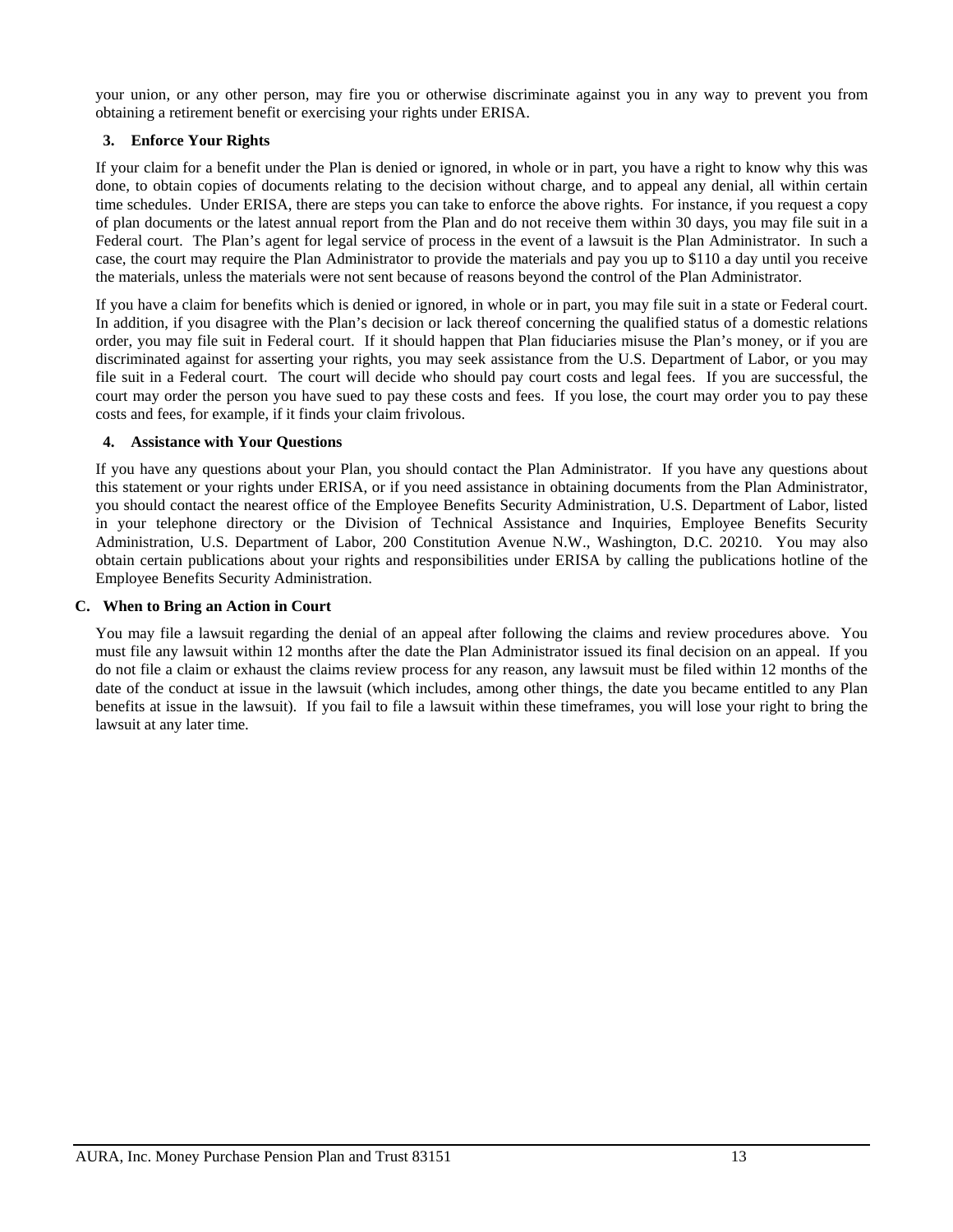your union, or any other person, may fire you or otherwise discriminate against you in any way to prevent you from obtaining a retirement benefit or exercising your rights under ERISA.

## **3. Enforce Your Rights**

If your claim for a benefit under the Plan is denied or ignored, in whole or in part, you have a right to know why this was done, to obtain copies of documents relating to the decision without charge, and to appeal any denial, all within certain time schedules. Under ERISA, there are steps you can take to enforce the above rights. For instance, if you request a copy of plan documents or the latest annual report from the Plan and do not receive them within 30 days, you may file suit in a Federal court. The Plan's agent for legal service of process in the event of a lawsuit is the Plan Administrator. In such a case, the court may require the Plan Administrator to provide the materials and pay you up to \$110 a day until you receive the materials, unless the materials were not sent because of reasons beyond the control of the Plan Administrator.

If you have a claim for benefits which is denied or ignored, in whole or in part, you may file suit in a state or Federal court. In addition, if you disagree with the Plan's decision or lack thereof concerning the qualified status of a domestic relations order, you may file suit in Federal court. If it should happen that Plan fiduciaries misuse the Plan's money, or if you are discriminated against for asserting your rights, you may seek assistance from the U.S. Department of Labor, or you may file suit in a Federal court. The court will decide who should pay court costs and legal fees. If you are successful, the court may order the person you have sued to pay these costs and fees. If you lose, the court may order you to pay these costs and fees, for example, if it finds your claim frivolous.

### **4. Assistance with Your Questions**

If you have any questions about your Plan, you should contact the Plan Administrator. If you have any questions about this statement or your rights under ERISA, or if you need assistance in obtaining documents from the Plan Administrator, you should contact the nearest office of the Employee Benefits Security Administration, U.S. Department of Labor, listed in your telephone directory or the Division of Technical Assistance and Inquiries, Employee Benefits Security Administration, U.S. Department of Labor, 200 Constitution Avenue N.W., Washington, D.C. 20210. You may also obtain certain publications about your rights and responsibilities under ERISA by calling the publications hotline of the Employee Benefits Security Administration.

### **C. When to Bring an Action in Court**

You may file a lawsuit regarding the denial of an appeal after following the claims and review procedures above. You must file any lawsuit within 12 months after the date the Plan Administrator issued its final decision on an appeal. If you do not file a claim or exhaust the claims review process for any reason, any lawsuit must be filed within 12 months of the date of the conduct at issue in the lawsuit (which includes, among other things, the date you became entitled to any Plan benefits at issue in the lawsuit). If you fail to file a lawsuit within these timeframes, you will lose your right to bring the lawsuit at any later time.